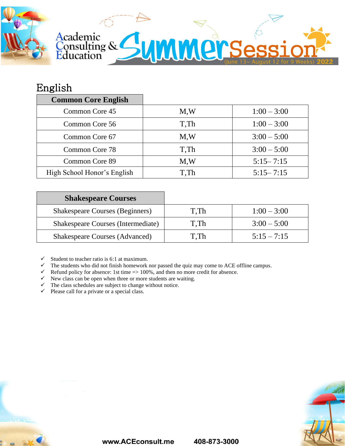

## English

| <b>Common Core English</b>  |      |               |
|-----------------------------|------|---------------|
| Common Core 45              | M.W  | $1:00 - 3:00$ |
| Common Core 56              | T.Th | $1:00 - 3:00$ |
| Common Core 67              | M.W  | $3:00 - 5:00$ |
| Common Core 78              | T.Th | $3:00 - 5:00$ |
| Common Core 89              | M.W  | $5:15 - 7:15$ |
| High School Honor's English | T.Th | $5:15 - 7:15$ |

| <b>Shakespeare Courses</b>                |      |               |
|-------------------------------------------|------|---------------|
| <b>Shakespeare Courses (Beginners)</b>    | T.Th | $1:00 - 3:00$ |
| <b>Shakespeare Courses (Intermediate)</b> | T.Th | $3:00 - 5:00$ |
| <b>Shakespeare Courses (Advanced)</b>     | T.Th | $5:15 - 7:15$ |

 $\checkmark$  Student to teacher ratio is 6:1 at maximum.

- $\checkmark$  The students who did not finish homework nor passed the quiz may come to ACE offline campus.
- $\checkmark$  Refund policy for absence: 1st time => 100%, and then no more credit for absence.
- $\checkmark$  New class can be open when three or more students are waiting.
- $\checkmark$  The class schedules are subject to change without notice.
- $\checkmark$  Please call for a private or a special class.





408-873-3000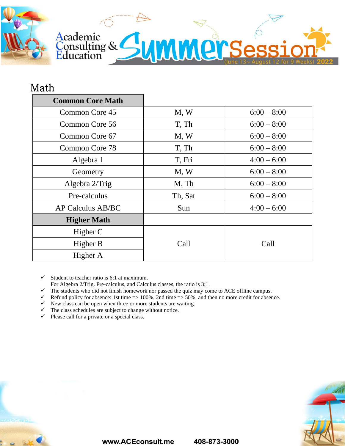

## Math

| <b>Common Core Math</b> |                        |               |  |
|-------------------------|------------------------|---------------|--|
| Common Core 45          | M, W                   | $6:00 - 8:00$ |  |
| Common Core 56          | T, Th<br>$6:00 - 8:00$ |               |  |
| Common Core 67          | M, W                   | $6:00 - 8:00$ |  |
| Common Core 78          | T, Th                  | $6:00 - 8:00$ |  |
| Algebra 1               | T, Fri                 | $4:00 - 6:00$ |  |
| Geometry                | M, W                   | $6:00 - 8:00$ |  |
| Algebra 2/Trig          | M, Th                  | $6:00 - 8:00$ |  |
| Pre-calculus            | Th, Sat                | $6:00 - 8:00$ |  |
| AP Calculus AB/BC       | Sun                    | $4:00 - 6:00$ |  |
| <b>Higher Math</b>      |                        |               |  |
| Higher C                |                        |               |  |
| Higher B                | Call                   | Call          |  |
| Higher A                |                        |               |  |

 $\checkmark$  Student to teacher ratio is 6:1 at maximum.

For Algebra 2/Trig. Pre-calculus, and Calculus classes, the ratio is 3:1.

 $\checkmark$  The students who did not finish homework nor passed the quiz may come to ACE offline campus.

 $\checkmark$  Refund policy for absence: 1st time => 100%, 2nd time => 50%, and then no more credit for absence.

 $\checkmark$  New class can be open when three or more students are waiting.

 $\checkmark$  The class schedules are subject to change without notice.

 $\checkmark$  Please call for a private or a special class.



www.ACEconsult.me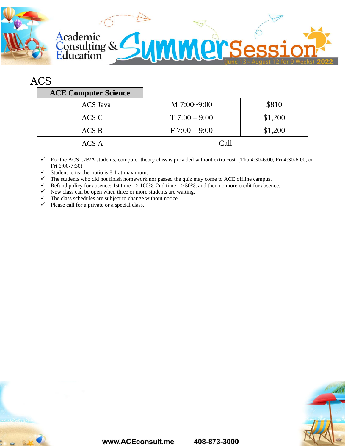

## ACS

| <b>ACE Computer Science</b> |                 |         |
|-----------------------------|-----------------|---------|
| <b>ACS</b> Java             | $M$ 7:00~9:00   | \$810   |
| ACS C                       | $T$ 7:00 – 9:00 | \$1,200 |
| $ACS$ B                     | $F 7:00 - 9:00$ | \$1,200 |
| ACS A                       | Call            |         |

 $\checkmark$  For the ACS C/B/A students, computer theory class is provided without extra cost. (Thu 4:30-6:00, Fri 4:30-6:00, or Fri 6:00-7:30)

- $\checkmark$  Student to teacher ratio is 8:1 at maximum.
- ✓ The students who did not finish homework nor passed the quiz may come to ACE offline campus.
- $\checkmark$  Refund policy for absence: 1st time => 100%, 2nd time => 50%, and then no more credit for absence.
- $\checkmark$  New class can be open when three or more students are waiting.
- $\checkmark$  The class schedules are subject to change without notice.
- $\checkmark$  Please call for a private or a special class.